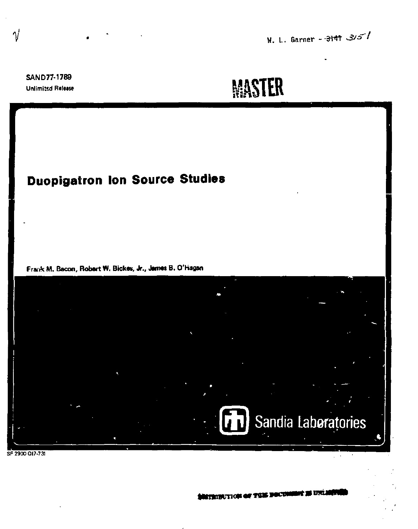SAND77-1789 **Unlimited Release** 

**MASTER** 

# **Duopigatron Ion Source Studies**

Frank M. Bacon, Robert W. Bickes, Jr., James B. O'Hagan



SF 2900 017-731

**Mynopution of TSM DOCUM** يفوروا

 $\gamma$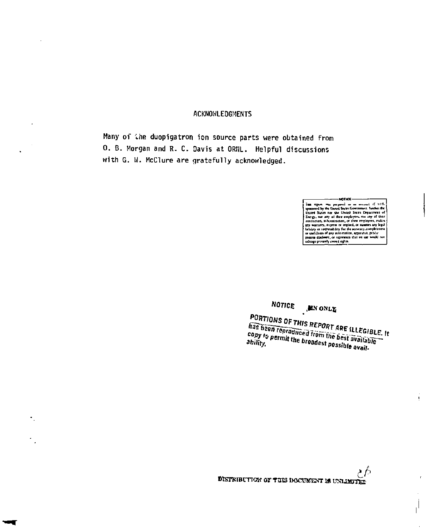# **ACKNOWLEDGMENTS**

Many of the duopigatron ion source parts were obtained from O. B. Morgan and R. C. Davis at ORNL. Helpful discussions with G. N. McClure are gratefully acknowledged.

 $\cdot$ 

٠.  $\cdot$ 

www. Final region was properties of the state of the state of the space of the state of the state of the state of the state of the state of the state of the state of the state of the state of the state of the state of the stat

÷

 $\epsilon$ 

 $\overline{1}$ 

NOTICE MIN ONLY

PORTIONS OF THIS REPORT ARE ILLEGIBLE. It has been reproduced from the best available ling been remoditors from the best pressure.<br>CODY 10 PETMIt the broadest possible avail-

م<br>م DISTRIBUTION OF THIS DOCUMENT IS UNLIMITED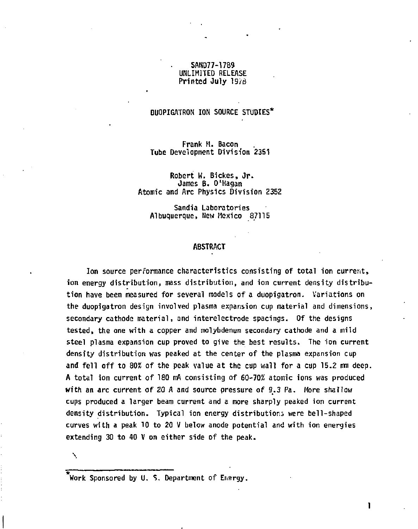#### SAND77-1789 UNLIMITED RELEASE Printed July 19/6

#### DUOPIGATRON ION SOURCE STUDIES\*

Frank M. Bacon Tube Development Division 2351

Robert W. Bickes, Jr. James B. O'Hagan Atomic and Arc Physics Division 2352

Sandia Laboratories Albuquerque, New Mexico 87115

#### ABSTRACT

Ion source performance characteristics consisting of total ion current, ion energy distribution, mass distribution, and ion current density distribution have been measured for several models of a duopigatron. Variations on the duopigatron design involved plasma expansion cup material and dimensions, secondary cathode material, and interelectrode spacings. Of the designs tested, the one with a copper and molybdenum secondary cathode and a mild steel plasma expansion cup proved to give the best results. The ion current density distribution was peaked at the center of the plasma expansion cup and fell off to  $80\%$  of the peak value at the cup wall for a cup 15.2 mm deep. A total ion current of 180 mA consisting of 60-702 atomic ions was produced with an arc current of 20 A and source pressure of 9.3 Pa. More shallow cups produced a larger beam current and a more sharply peaked ion current density distribution. Typical ion energy distributions were bell-shaped curves with a peak 10 to 20 V below anode potential and with ion energies extending 30 to 40 V on either side of the peak.

Ń

Work Sponsored by U, S. Department of Energy,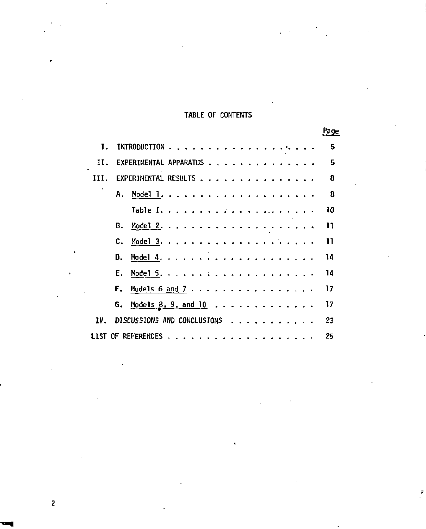# **TABLE OF CONTENTS**

|    |  |                                 |  |  |  |  |  |  |  |  |  | Page |
|----|--|---------------------------------|--|--|--|--|--|--|--|--|--|------|
| Ι. |  |                                 |  |  |  |  |  |  |  |  |  | -5   |
|    |  | II. EXPERIMENTAL APPARATUS      |  |  |  |  |  |  |  |  |  | - 5  |
|    |  | III. EXPERIMENTAL RESULTS 8     |  |  |  |  |  |  |  |  |  |      |
|    |  |                                 |  |  |  |  |  |  |  |  |  | - 8  |
|    |  |                                 |  |  |  |  |  |  |  |  |  | 10   |
|    |  |                                 |  |  |  |  |  |  |  |  |  | 11   |
|    |  |                                 |  |  |  |  |  |  |  |  |  | 11   |
|    |  |                                 |  |  |  |  |  |  |  |  |  | 14   |
|    |  |                                 |  |  |  |  |  |  |  |  |  | 14   |
|    |  | <b>F.</b> Models 6 and 7        |  |  |  |  |  |  |  |  |  | 17   |
|    |  | G. Models $8, 9$ , and $10$     |  |  |  |  |  |  |  |  |  | 17   |
|    |  | IV. DISCUSSIONS AND CONCLUSIONS |  |  |  |  |  |  |  |  |  | 23   |
| 25 |  |                                 |  |  |  |  |  |  |  |  |  |      |

 $\overline{\mathbf{2}}$ 

• • ^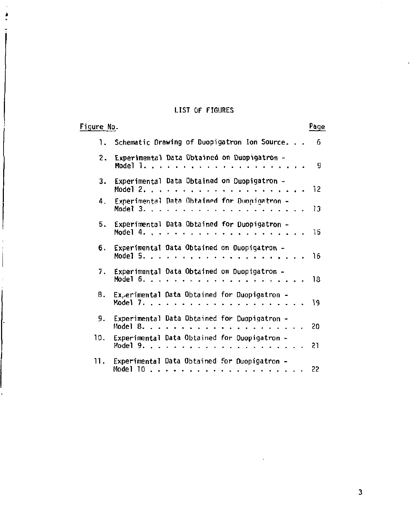# **LIST OF FIGURES**

| Figure No. | <u>rage</u>                                           |  |
|------------|-------------------------------------------------------|--|
|            | 1. Schematic Drawing of Duopigatron Ion Source<br>6   |  |
|            | 2. Experimental Data Obtained on Duopigatron -<br>q   |  |
|            | 3. Experimental Data Obtained on Duopigatron -        |  |
|            | 4. Experimental Data Obtained for Duonicatron -<br>13 |  |
|            | 5. Experimental Data Obtained for Duopigatron -       |  |
|            | 6. Experimental Data Obtained on Duopiqatron -        |  |
|            | 7. Experimental Data Obtained on Duopigatron -        |  |
| 8.         | Experimental Data Obtained for Duopigatron -          |  |
| 9.         | Experimental Data Obtained for Duopigatron -          |  |
| 10.        | Experimental Data Obtained for Duopigatron -          |  |
|            | Experimental Data Obtained for Duopigatron -          |  |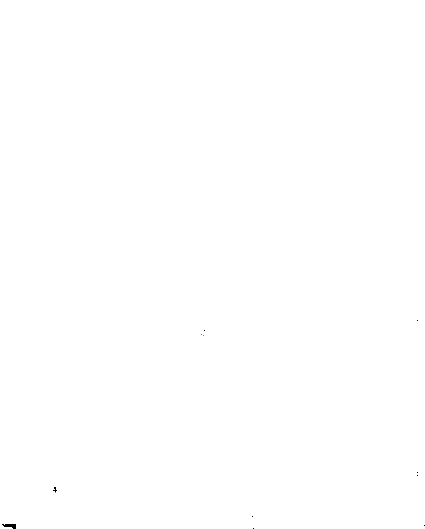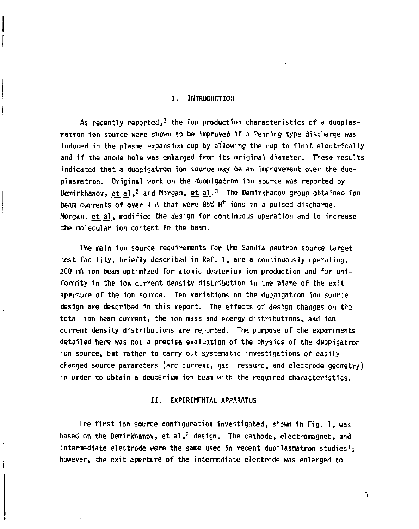### **I. INTRODUCTION**

Í

 $\overline{\phantom{a}}$ 

**As recently reported,1 the ion production characteristics of a duoplasmatron ion source were shown to be improved if a Penning type discbarge was induced in the plasma expansion cup by allowing the cup to float electrically and if the anode hole was enlarged from its original diameter. These results indicated that a duopigatron ion source may be an improvement over the duoplasmatron. Original work on the duopigatron ion source was reported by Demirkhanov, et\_aj\_,<sup>2</sup> and Morgan, et al\_.<sup>3</sup> The Demirkhanov group obtained ion beam cut-rents of over 1 A that were 85% H\* ions in a pulsed discharge. Morgan, et^ aj\_» modified the design for continuous operation and to increase the molecular ion content in the beam.** 

**The main ion source requirements for the Sandia neutron source target test facility, briefly described in Ref. 1, are a continuously operating, 200 mA ion beam optimized for atomic deuterium ion production and for uniformity in the ion current density distribution in the plane of the exit aperture of the ion source. Ten variations on the duopigatron ion source design are described in this report. The effects of design changes on the total ion beam current, the ion mass and energy distributions, and ion current density distributions are reported. The purpose of the experiments detailed here was not a precise evaluation of the physics of the duopigatron ion source, but rather to carry out systematic investigations of easily changed source parameters (arc current, gas pressure, and electrode geometry) in order to obtain a deuterium ion beam with the required characteristics.** 

### **II. EXPERIMENTAL APPARATUS**

**The first ion source configuration investigated, shown in Fig. 1, was based on the Demirkhanov, et^ a]\_,2 design. The cathode, electromagnet, and**   $intermediate$  electrode were the same used in recent duoplasmatron studies<sup>1</sup><sup>*;*</sup> **however, the exit aperture of the intermediate electrode was enlarged to**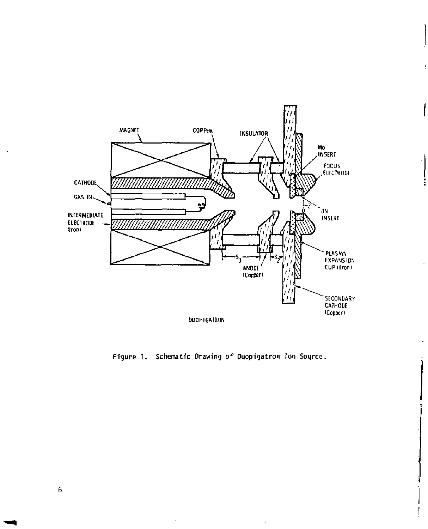

J

Figure 1. Schematic Drawing of Duopigatron Ion Source.

 $\boldsymbol{6}$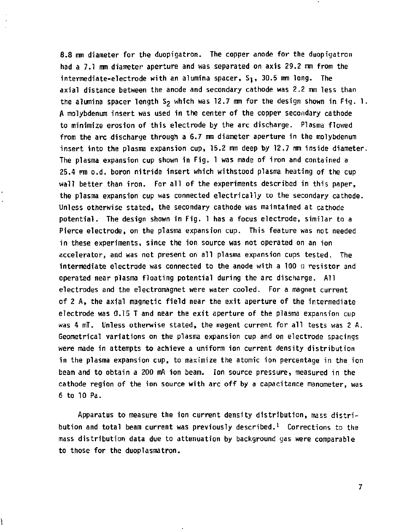**8.8 rnn diameter for the duopigatran. The copper anode for the duopigatron had a 7.1 mm diameter aperture and was separated on axis 29.2 mm from the intermediate-electrode with an alumina spacer, S<sub>3</sub>, 30.5 mm long. The axial distance between the anode and secondary cathode was 2.2 mm less than**  the alumina spacer length S<sub>2</sub> which was 12.7 mm for the design shown in Fig. 1. **A molybdenum insert was used in the center of the copper secondary cathode to minimize erosion of this electrode by the arc discharge. Plasma flowed from the arc discharge through a 6.7 mm diameter aperture in the molybdenum insert into the plasma expansion cup, 15.2 mm deep by 12.7 mm inside diameter. The plasma expansion cup shown in Fig. 1 was made of iron and contained a 25.4 mm o,d. boron nitride insert which withstood plasma heating of the cup wall better than iron. For all of the experiments described in this paper, the plasma expansion cup was connected electrically to the secondary cathode. Unless otherwise stated, the secondary cathode was maintained at cathode potential. The design shown in Fig. 1 has a focus electrode, similar to a Pierce electrode, on the plasma expansion cup. This feature was not needed in these experiments, since the ion source was not operated on an ion accelerator, and was not present on all plasma expansion cups tested. The intermediate electrode was connected to the anode with a 100 o resistor and operated near plasma floating potential during the arc discharge. All electrodes and the electromagnet were water cooled. For a magnet current of 2 A, the axial magnetic field near the exit aperture of the intermediate electrode was 0.15 T and near the exit aperture of the plasma expansion cup was 4 mT. Unless otherwise stated, the magent current for all tests was 2 A. Geometrical variations on the plasma expansion cup and on electrode spacings were made in attempts to achieve a uniform ion current density distribution in the plasma expansion cup, to maximize the atomic ion percentage in the ion beam and to obtain a 200 mA ion beam. Ion source pressure, measured in the cathode region of the ion source with arc off by a capacitance manometer, was 6 to 10 Pa.** 

**Apparatus to measure the ion current density distribution, mass distribution and total beam current was previously described.<sup>1</sup> Corrections to the mass distribution data due to attenuation by background gas were comparable to those for the duoplasmatron.**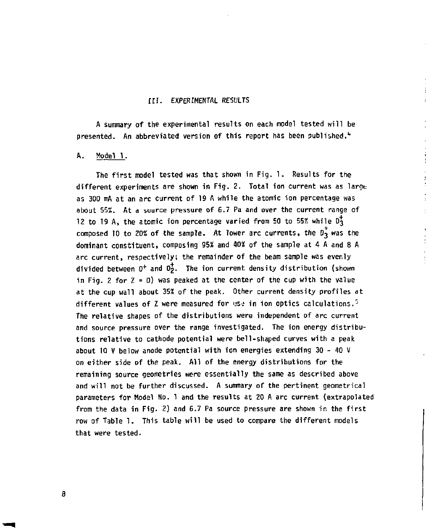## III. EXPERIMENTAL RESULTS

A summary of the experimental results on each model tested will be presented. An abbreviated version of this report has been published."

A. Model 1.

**The first model tested was that shown in Fig. 1. Results for the different experiments are shown in Fig. 2. Total ion current was as largt as 300 mA at an arc current of 19 A while the atomic ion percentage was about 55A. At a source pressure of 6.7 Pa and over the current range of 12 to 19 A, the atomic ion percentage varied from 50 to 55% while D3**  composed 10 to 20% of the sample. At lower arc currents, the  $D_3^+$  was the **dominant constituent, composing 95% and 40% of the sample at 4 A and 8 A arc current, respectively; the remainder of the beam sample was evenly**  divided between  $0^+$  and  $0^+$ . The ion current density distribution (shown **in Fig. 2 for Z = 0) was peaked at the center of the cup with the value at the cup wall about 35% of the peak. Other current density profiles at different values of Z were measured for us\* in ion optics calculations.<sup>5</sup> The relative shapes of the distributions were independent of arc current and source pressure over the range investigated. The ion energy distributions relative to cathode potential were bell-shaped curves with a peak about 10 V below anode potential with ion energies extending 30 - 40 V on either side of the peak. All of the energy distributions for the remaining source geometries were essentially the same as described above and will not be further discussed. A summary of the pertinent geometrical parameters for Model Ho. 1 and the results at 20 A arc current (extrapolated from the data in Fig. 2) and 6.7 Pa source pressure are shown in the first row of Table 1. This table will be used to compare the different models that were tested.**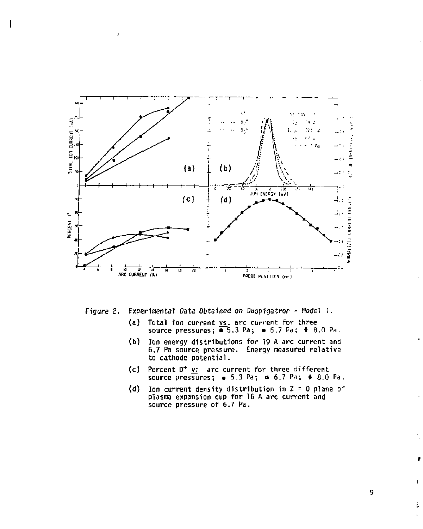

 $\overline{1}$ 

**Figure 2. Experimental Data Obtained on Duopigatron - Model 1.** 

- **(a) Total ion current ys\_. arc current for three source pressures; 5.3 Pa; 6.7 Pa; 8.0 Pa.**
- **(b) Ion energy distributions for 19 A arc current and 6.7 Pa source pressure. Energy measured relative to cathode potential.**
- **(c) Percent D <sup>+</sup> yr arc current for three different source pressures; • 5.3 Pa;** *a* **6.7 Pa; \* 8.0 Pa.**
- **(d) Ion current density distribution in Z = 0 plane of plasma expansion cup for 16 A arc current and source pressure of 6.7 Pa.**

**9** 

*f*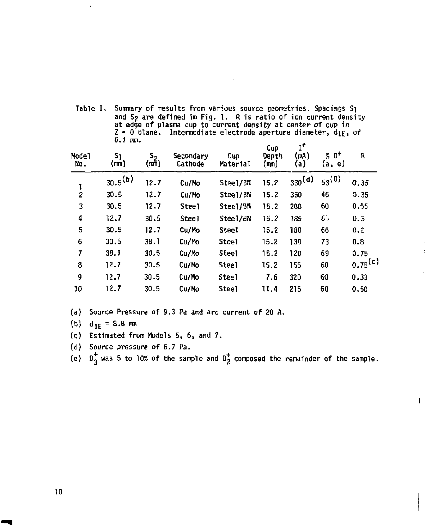**Table I. Summary of results from various source geometries. Spacings Si**  and S<sub>2</sub> are defined in Fig. 1. R is ratio of ion current density<br>at edge of plasma cup to current density at center of cup in<br>Z = 0 olane. Intermediate electrode aperture diameter, d<sub>IE,</sub> of<br>6.1 mm.

| Mcde <sup>1</sup><br>No. | S۱<br>(mm)   | $s_{2}$<br>(mm) | Secondary<br>Cathode | Cup<br>Material   | Cup<br>Depth<br>(m) | гт<br>(mA)<br>(a) | $%0+$<br>(a. e) | R                     |  |
|--------------------------|--------------|-----------------|----------------------|-------------------|---------------------|-------------------|-----------------|-----------------------|--|
|                          | $30.5^{(b)}$ | 12.7            | Cu/Mo                | Stee1/BN          | 15.2                | $330^{(d)}$       | $53^{(0)}$      | 0.35                  |  |
| $\frac{1}{2}$            | 30.5         | 12.7            | Cu/Mo                | Stee1/BN          | 15.2                | 350               | 46              | 0.35                  |  |
| 3                        | 30.5         | 12.7            | Steel                | Steel/BN          | 15.2                | 200               | 60              | 0.55                  |  |
| 4                        | 12.7         | 30.5            | <b>Steel</b>         | Stee1/BN          | 15.2                | 185               | ε,              | 0.5                   |  |
| 5                        | 30.5         | 12.7            | Cu/Mo                | <b>Steel</b>      | 15.2                | 180               | 66              | 0.8                   |  |
| 6                        | 30.5         | 38.1            | Cu/Mo                | Steel             | 15.2                | 130               | 73              | 0.8                   |  |
| 7                        | 38.1         | 30.5            | Cu/Mo                | Stee <sup>-</sup> | 15.2                | 120               | 69              | 0.75                  |  |
| 8                        | 12.7         | 30.5            | Cu/Mo                | <b>Steel</b>      | 15.2                | 155               | 60              | $0.75$ <sup>(c)</sup> |  |
| 9                        | 12.7         | 30.5            | Cu/Mo                | Steel             | 7.6                 | 320               | 60              | 0.33                  |  |
| 10                       | 12.7         | 30.5            | Cu/Mo                | Stee1             | 11.4                | 215               | 60              | 0.50                  |  |
|                          |              |                 |                      |                   |                     |                   |                 |                       |  |

- **(a) Source Press ure of 9. 3 Pa and arc current of** *20* **A.**
- **(b) dj£ = 8.8 mn**
- **(c) Estimated from Model! ; 5, 6, and 7.**
- **(d) Source pressure of 6. .7 Pa.**

(e)  $D_2^+$  was 5 to 10% of the sample and  $D_2^+$  composed the remainder of the sample.

 $\mathbf{I}$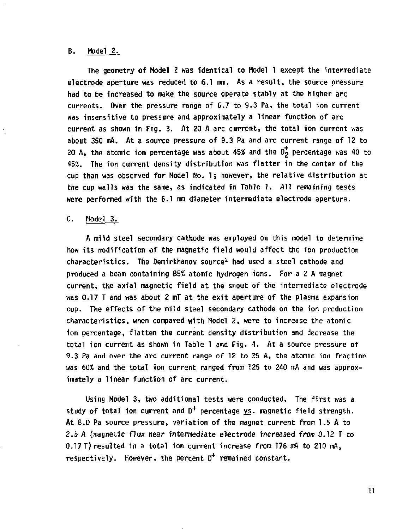#### **B. Model 2.**

**The geometry of Model 2 was identical to Model 1 except the intermediate electrode aperture was reduced to 6.1 inn. As a result, the source pressure had to be increased to make the source operate stably at the higher arc currents. Over the pressure range of 6.7 to 9.3 Pa, the total ion current was insensitive to pressure and approximately a linear function of arc current as shown in Fig. 3. At 20 A arc current, the total ion current was about 350 mA. At a source pressure of 9.3 Pa and arc current range of 12 to 20 A, the atomic ion percentage was about 4555 and the 0 <sup>2</sup> percentage was 40 to 455S. The ion current density distribution was flatter in the center of the cup than was observed for Model No. 1; however, the relative distribution at the cup walls was the same, as indicated in Table 1. All remaining tests were performed with the 6.1 mm diameter intermediate electrode aperture.** 

#### **C. Model 3.**

**A mild steel secondary cathode was employed on this model to determine how its modification of the magnetic field would affect the ion production characteristics. The Demirkhanov source<sup>2</sup> had used a steel cathode and produced a beam containing** *B5%* **atomic hydrogen ions. For a 2 A magnet current, the axial magnetic field at the snout of the intermediate electrode was 0.17 T and was about 2 mT at the exit aperture of the plasma expansion cup. The effects of the mild steel secondary cathode on the ion production characteristics, wnen compared with Model 2, were to increase the atomic ion percentage, flatten the current density distribution and decrease the total ion current as shown in Table 1 and Fig. 4. At a source pressure of 9.3 Pa and over the arc current range of 12 to 25 A, the atomic ion fraction was 60% and the total ion current ranged from 125 to 240 mA and was approximately a linear function of arc current.** 

**Using Model 3, two additional tests were conducted. The first was a**  study of total ion current and D<sup>+</sup> percentage vs. magnetic field strength. **At 8.0 Pa source pressure\* variation of the magnet current from 1.5 A to 2.5 A (magnetic flux near intermediate electrode increased from 0.12 T to 0.17 T) resulted in a total ion current increase from 176 mA to 210 mA, respectively.** However, the percent  $D^+$  remained constant.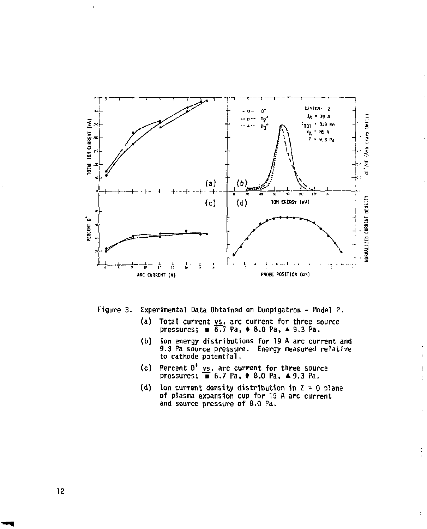

**Figure 3. Experimental Data Obtained on Duopigatron - Model 2.** 

- **(a) Total current vs.. arc current for three source pressures; 6.7 Pa, 8.0 Pa, \* 9.3 Pa.**
- **(b) Ion energy distributions for 19 A arc current and 9.3 Pa source pressure. Energy measured relative to cathode potential.**

j.

 $\ddot{\phantom{a}}$ 

- (c) Percent D<sup>+</sup> vs. arc current for three source **pressures; • 6.7 Pa, • 8.0 Pa, A 9.3 Pa.**
- **(d) Ion current density distribution in Z = 0 plane of plasma expansion cup for 15 A arc current and source pressure of 8.0 Pa.**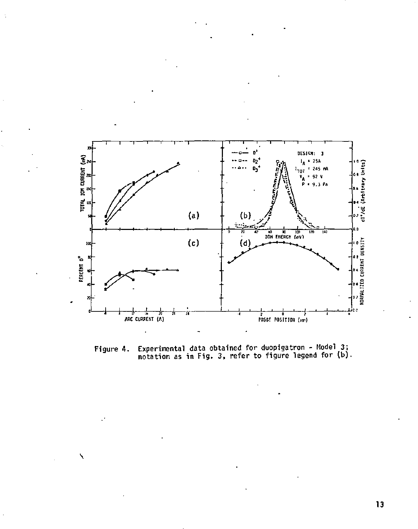

Experimental data obtained for duopigatron - Model 3;<br>notation as in Fig. 3, refer to figure legend for (b). Figure 4.

Ñ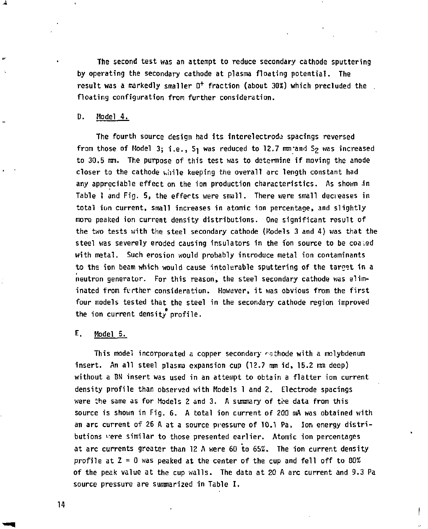**The second test was an attempt to reduce secondary cathode sputtering by operating the secondary cathode at plasma floating potential. The**  result was a markedly smaller  $0^+$  fraction (about 30%) which precluded the **floating configuration from further consideration.** 

# **D. Model 4.**

The fourth source design had its interelectrode spacings reversed **from those of Model 3; i.e., 5] was reduced to 12.7 mm "and Sg was increased to 30,5 mm. The purpose of this test was to determine if moving the anode**  closer to the cathode while keeping the overall arc length constant had **any appreciable effect on the ion production characteristics. As shown .in**  Table 1 and Fig. 5, the effects were small. There were small decreases in **total iun current, small increases in atomic ion percentage, and slightly more peaked ion current density distributions. One significant result of the two tests with the steel secondary cathode (Models 3 and 4) was that the steel was severely eroded causing insulators in the ion source to be coaled with metal. Such erosion would probably introduce metal ion contaminants to the ion beam which would cause intolerable sputtering of the taro°t in a neutron generator. For this reason, the steel secondary cathode was eliminated from further consideration. However, it was obvious from the first four models tested that the steel in the secondary cathode region improved the ion current density profile.** 

# **<sup>E</sup>- Model 5.\_**

**This model incorporated a copper secondary '-ithode with a molybdenum insert. An all steel plasma expansion cup (12.7 mm id, 15.2 mm deep) without a BN insert was used in an attempt to obtain a flatter ion current density profile than observed with Models 1 and 2. Electrode spacings**  were the same as for Models 2 and 3. A summary of the data from this source is shown in Fig. 6. A total ion current of 200 mA was obtained with **an arc current of 26 A at a source pressure of 10.1 Pa. Ion energy distributions were similar to those presented earlier. Atomic ion percentages at arc currents greater than 12 A were 60 "to 653. The ion current density profile at 2 = 0 was peaked at the center of the cup and fell off to B0% of the peak value at the cup walls. The data at 20 A arc current and 9.3 Pa source pressure are summarized in Table I.**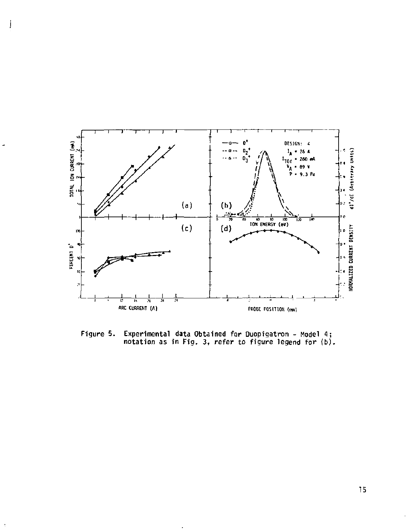

**I** 

**Figure 5. Experimental data Obtained for Ouopigatron - Model 4; notation as in Fig. 3, refer to figure legend for (b).**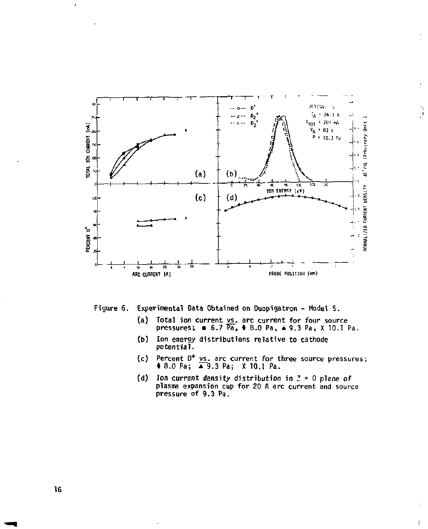

÷

t

Î,

 $\mathbb{R}$ 

**Figure 6. Experimental Data Obtained on Duopigatron - Model 5.** 

- **(a) Total ion current vs. arc current for four source pressures; 6.7** *fat* **8.0 Pa, \* 9.3 Pa, X TO.l Pa.**
- **Ion energy distributions relative to cathode (b) potential.**
- **Percent D <sup>+</sup> ys\_. arc current for three source pressures; 8.0 Pa;** *A* **9.3 Pa; X 10,1 Pa. (c)**
- **(d) Ion current density distribution in** *Z =* **0 plane of plasma expansion cup for 20 A arc current and source pressure of 9.3 Pa.**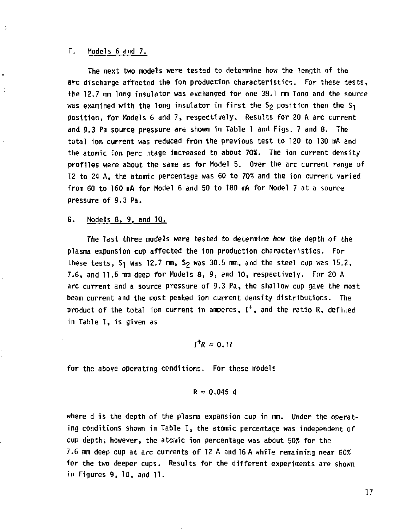#### **F. Models 6 and 7.**

j.

٠

**The next two models were tested to determine how the length of the arc discharge affected the ion production characteristics. For these tests, the 12.7 mm long insulator was exchanqed for one 38.1 mm long and the source**  was examined with the long insulator in first the S<sub>2</sub> position then the S<sub>3</sub> **position, for Models 6 and 7, respectively. Results for 20 A arc current and 9.3 Pa source pressure are shown in Table 1 and Figs. 7 and 8. The total ion current was reduced from the previous test to 120 to 130 mA and**  the atomic *ion perc* itage increased to about 70%. The ion current density **profiles were about the same as for Model 5. Over the arc current range of 12 to 24 A, the atomic percentage was 60 to 70% and the ion current varied from 60 to 160 mA for Model 6 and 50 to 180 mA for Model 7 at a source pressure of 9.3 Pa.** 

#### **G. Models B, 9, and 10\_^**

*The* **last three models were tested to determine how the depth of the plasma expansion cup affected the ion production characteristics. For**  these tests, S<sub>1</sub> was 12.7 mm, S<sub>2</sub> was 30.5 mm, and the steel cup was 15.2, **7.6, and 11.5 mm deep for Models 8, 9, and 10, respectively. For 20 A arc current and a source pressure of 9.3 Pa, the shallow cup gave the most beam current and the most peaked ion current density distributions. The product of the total ion current in amperes, I<sup>+</sup> , and the ratio R, defined in Table 1, is given as** 

**I <sup>+</sup> R = 0.11** 

for the above operating conditions. For these models

$$
R \approx 0.045 d
$$

**where d is the depth of the plasma expansion cup in mm. Under the operating conditions shown in Table I, the atomic percentage was independent of cup depth; however, the atcuiic ion percentage was about 50% for the 7.6 mm deep cup at arc currents of 12 A and 16 A while remaining near 60% for the two deeper cups. Results for the different experiments are shown in Figures 9, 10, and 11.**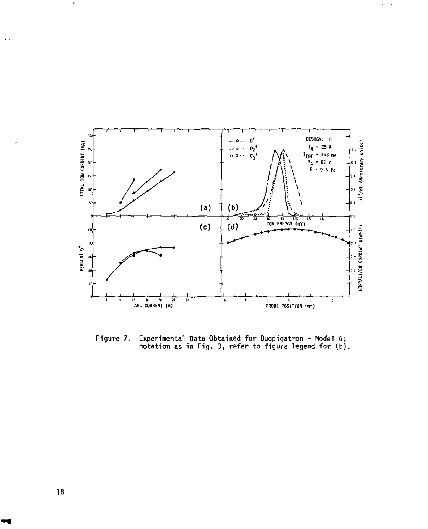

 $\bar{\bar{z}}$ 

**Figure 7. Experimental Data Obtained for Duapigatron - Model 6; notation as in Fig. 3, refer to figure legend far (b).** 

18

 $\mathbf{A}$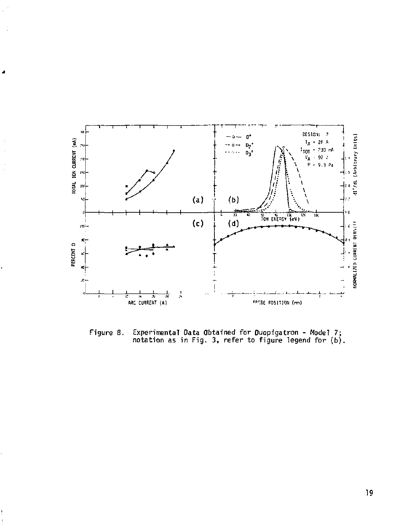

 $\blacksquare$ 

Experimental Data Obtained for Duopigatron - Model 7;<br>notation as in Fig. 3, refer to figure legend for (b). Figure 8.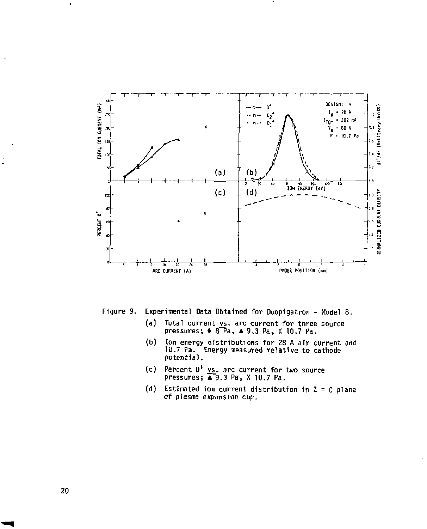

**Figure 9. Experimental Data Obtained for Duopigatron - Model 8.** 

- **(a) Total current vs\_. arc current for three source pressures; 8 Pa, A 9.3 Pa, X 10.7 Pa.**
- **(b) Ion energy distributions for 28 A air current and 10.7 Pa. Enerqy measured relative to cathode potential,**
- **(c) Percent D <sup>+</sup> vs\_. arc current for two source pressures;** *A* **9.3 Pa, X 10.7 Pa.**
- **(d) Estimated ion current distribution in Z = 0 plane of plasma expansion cup.**

 $\mathbf{r}$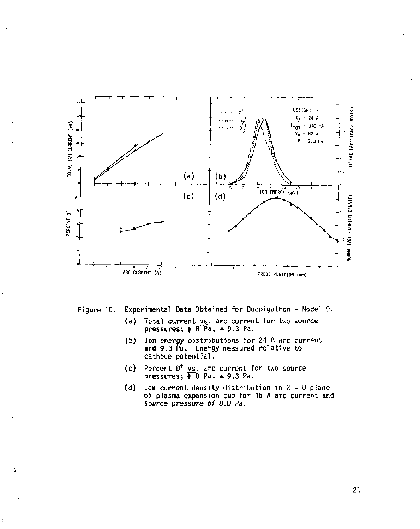

Experimental Data Obtained for Duopigatron - Model 9. Figure 10.

- (a) Total current vs. arc current for two source<br>pressures;  $\phi$  8  $\overline{Pa}$ ,  $\triangle$  9.3 Pa.
- Jon energy distributions for 24 A arc current<br>and 9,3 Pa. Energy measured relative to<br>cathode potential.  $(b)$
- (c) Percent  $D^+$  vs. arc current for two source<br>pressures;  $\bullet$  8 Pa,  $\blacktriangle$  9.3 Pa.
- (d) Ion current density distribution in  $Z = 0$  plane of plasma expansion cup for 16 A arc current and source pressure of 8.0 Pa.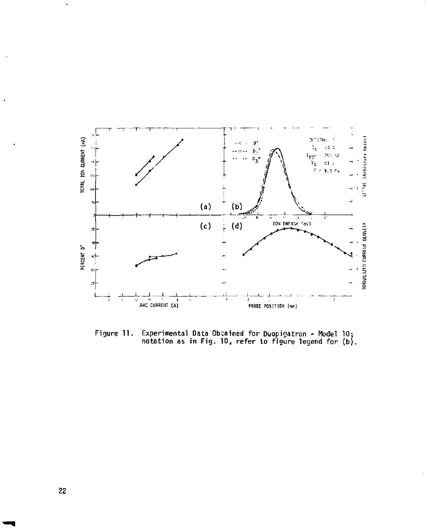

Figure 11. Experimental Data Obsained for Duopigatron - Model 10;<br>notation as in Fig. 10, refer to figure legend for (b).

22

k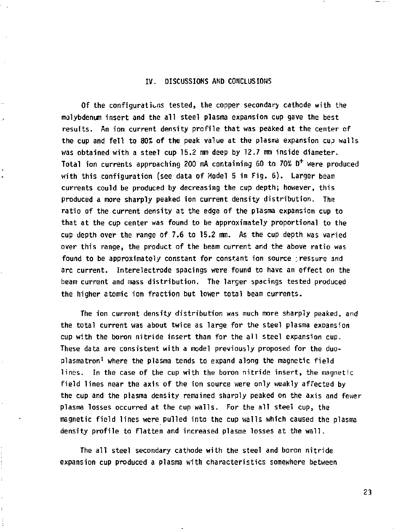# **IV. DISCUSSIONS AND CONCLUSIONS**

**Of the configurations tested, the copper secondary cathode with the molybdenum insert and the all steel plasma expansion cup gave the best results. An ion current density profile that was peaked at the center of the cup and fell to 80S of the peak value at the plasma expansion cup walls was obtained with a steel cup 15.2 mm deep by 12.7 mm inside diameter.**  Total ion currents approaching 200 mA containing 60 to 70% D<sup>+</sup> were produced **with this configuration (see data of Model 5 in Fig. 6). Larger beam currents could be produced by decreasing the cup depth; however, this produced a more sharply peaked ion current density distribution. The ratio of the current density at the edge of the plasma expansion cup to that at the cup center was found to be approximately proportional to the cup depth over the range of 7.6 to 15.2 mm. As the cup depth was varied over this range, the product of the beam current and the above ratio was found to be approximately constant for constant ion source ; ressure and arc current. Interelectrode spacings were found to have an effect on the beam currant and mass distribution. The larger spacings tested produced the higher atomic ion fraction but lower total beam currents.** 

**The ion current density distribution was much more sharply peaked, and the total current was about twice as large for the steel plasma expansion cup with the boron nitride insert than for the all steel expansion cup. These data are consistent with a model previously proposed for the duoplasmatron<sup>1</sup> where the plasma tends to expand along the magnetic field lines. In the case of the cup with the boron nitride insert, the magnetic field lines near the axis of the ion source were only weakly affected by the cup and the plasma density remained sharply peaked on the axis and fewer plasma losses occurred at the cup walls. For the all steel cup, the magnetic field lines were pulled into the cup walls which caused the plasma density profile to flatten and increased plasma losses at the wall.** 

**The all steel secondary cathode with the steel and boron nitride expansion cup produced a plasma with characteristics somewhere between**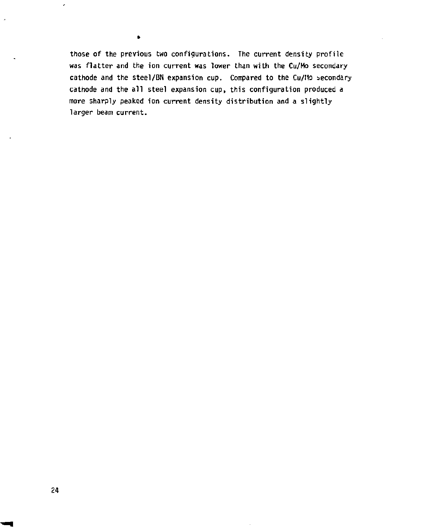**those of the previous two configurations. The current density profile was flatter and the ion current was lower than with the Cu/Ho secondary cathode and the steel/BN expansion cup. Compared to the Cu/Mo becondary cathode and the all steel expansion cup, this configuration produced a more sharply peaked ion current density distribution and a slightly larger beam current.** 

ï

k.